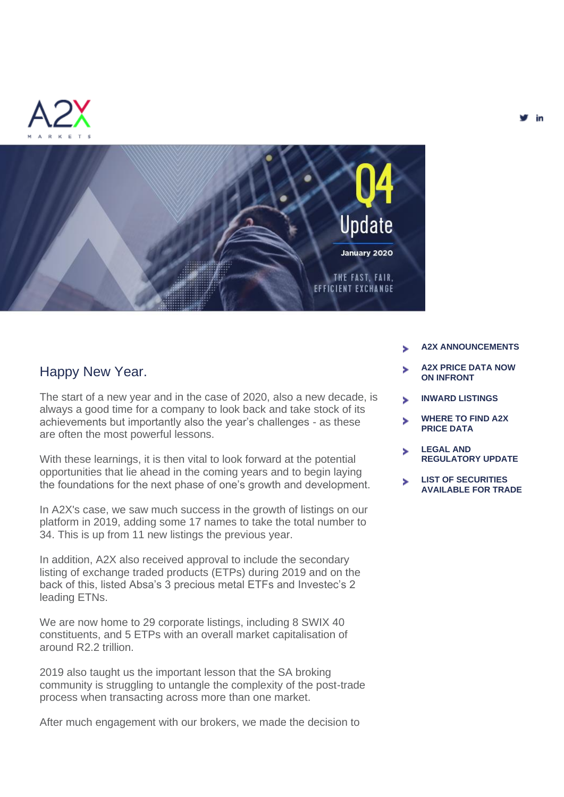





#### Happy New Year.

The start of a new year and in the case of 2020, also a new decade, is always a good time for a company to look back and take stock of its achievements but importantly also the year's challenges - as these are often the most powerful lessons.

With these learnings, it is then vital to look forward at the potential opportunities that lie ahead in the coming years and to begin laying the foundations for the next phase of one's growth and development.

In A2X's case, we saw much success in the growth of listings on our platform in 2019, adding some 17 names to take the total number to 34. This is up from 11 new listings the previous year.

In addition, A2X also received approval to include the secondary listing of exchange traded products (ETPs) during 2019 and on the back of this, listed Absa's 3 precious metal ETFs and Investec's 2 leading ETNs.

We are now home to 29 corporate listings, including 8 SWIX 40 constituents, and 5 ETPs with an overall market capitalisation of around R2.2 trillion.

2019 also taught us the important lesson that the SA broking community is struggling to untangle the complexity of the post-trade process when transacting across more than one market.

After much engagement with our brokers, we made the decision to

- **A2X ANNOUNCEMENTS**
- **A2X PRICE DATA NOW ON INFRONT**
- **INWARD LISTINGS**
- **WHERE TO FIND A2X PRICE DATA**
- **LEGAL AND REGULATORY UPDATE**
- **LIST OF SECURITIES AVAILABLE FOR TRADE**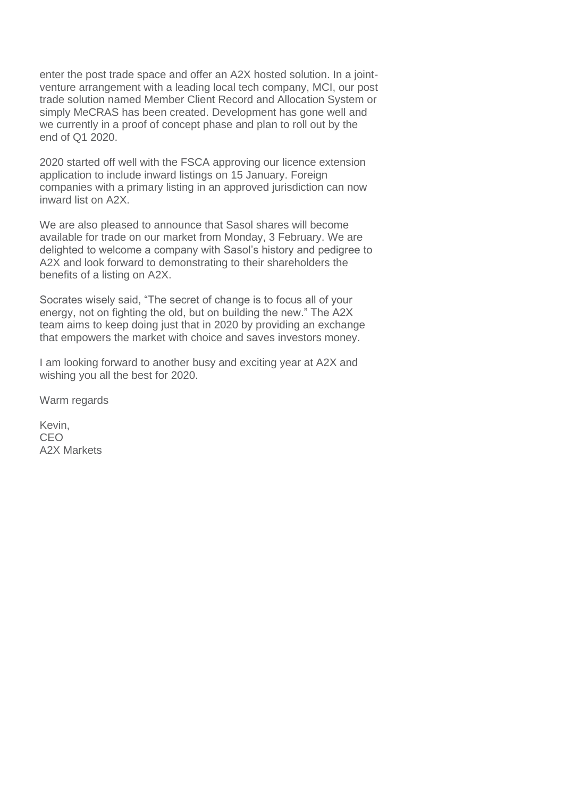enter the post trade space and offer an A2X hosted solution. In a jointventure arrangement with a leading local tech company, MCI, our post trade solution named Member Client Record and Allocation System or simply MeCRAS has been created. Development has gone well and we currently in a proof of concept phase and plan to roll out by the end of Q1 2020.

2020 started off well with the FSCA approving our licence extension application to include inward listings on 15 January. Foreign companies with a primary listing in an approved jurisdiction can now inward list on A2X.

We are also pleased to announce that Sasol shares will become available for trade on our market from Monday, 3 February. We are delighted to welcome a company with Sasol's history and pedigree to A2X and look forward to demonstrating to their shareholders the benefits of a listing on A2X.

Socrates wisely said, "The secret of change is to focus all of your energy, not on fighting the old, but on building the new." The A2X team aims to keep doing just that in 2020 by providing an exchange that empowers the market with choice and saves investors money.

I am looking forward to another busy and exciting year at A2X and wishing you all the best for 2020.

Warm regards

Kevin, CEO A2X Markets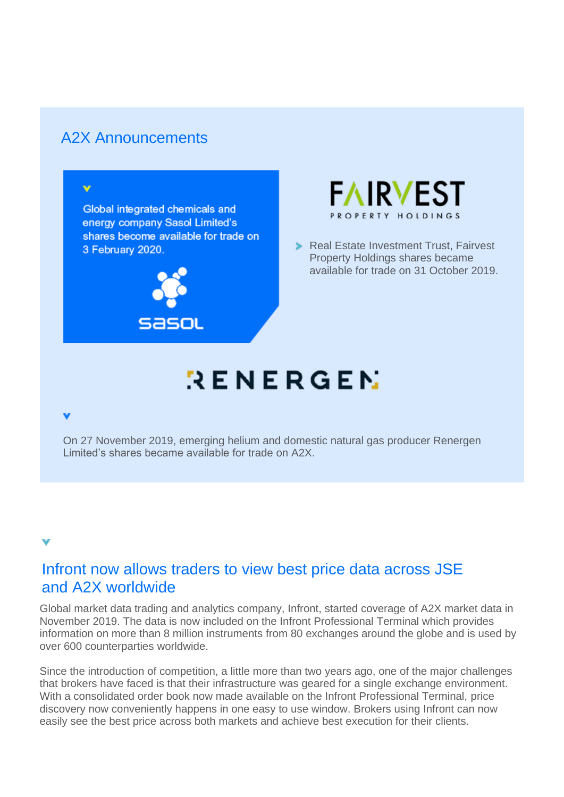## A2X Announcements

v

Global integrated chemicals and energy company Sasol Limited's shares become available for trade on 3 February 2020.





**Real Estate Investment Trust, Fairvest** Property Holdings shares became available for trade on 31 October 2019.

# $RENERGEN$

#### v

On 27 November 2019, emerging helium and domestic natural gas producer Renergen Limited's shares became available for trade on A2X.

## Infront now allows traders to view best price data across JSE and A2X worldwide

Global market data trading and analytics company, Infront, started coverage of A2X market data in November 2019. The data is now included on the Infront Professional Terminal which provides information on more than 8 million instruments from 80 exchanges around the globe and is used by over 600 counterparties worldwide.

Since the introduction of competition, a little more than two years ago, one of the major challenges that brokers have faced is that their infrastructure was geared for a single exchange environment. With a consolidated order book now made available on the Infront Professional Terminal, price discovery now conveniently happens in one easy to use window. Brokers using Infront can now easily see the best price across both markets and achieve best execution for their clients.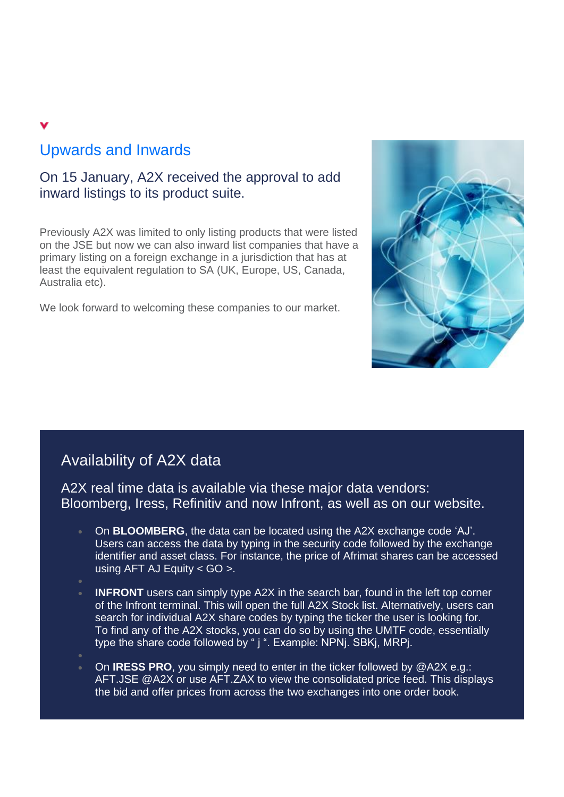## Upwards and Inwards

### On 15 January, A2X received the approval to add inward listings to its product suite.

Previously A2X was limited to only listing products that were listed on the JSE but now we can also inward list companies that have a primary listing on a foreign exchange in a jurisdiction that has at least the equivalent regulation to SA (UK, Europe, US, Canada, Australia etc).

We look forward to welcoming these companies to our market.



## Availability of A2X data

A2X real time data is available via these major data vendors: Bloomberg, Iress, Refinitiv and now Infront, as well as on our website.

- On **BLOOMBERG**, the data can be located using the A2X exchange code 'AJ'. Users can access the data by typing in the security code followed by the exchange identifier and asset class. For instance, the price of Afrimat shares can be accessed using AFT AJ Equity  $<$  GO  $>$ .
- 
- **INFRONT** users can simply type A2X in the search bar, found in the left top corner of the Infront terminal. This will open the full A2X Stock list. Alternatively, users can search for individual A2X share codes by typing the ticker the user is looking for. To find any of the A2X stocks, you can do so by using the UMTF code, essentially type the share code followed by " j ". Example: NPNj. SBKj, MRPj.
- On **IRESS PRO**, you simply need to enter in the ticker followed by @A2X e.g.: AFT.JSE @A2X or use AFT.ZAX to view the consolidated price feed. This displays the bid and offer prices from across the two exchanges into one order book.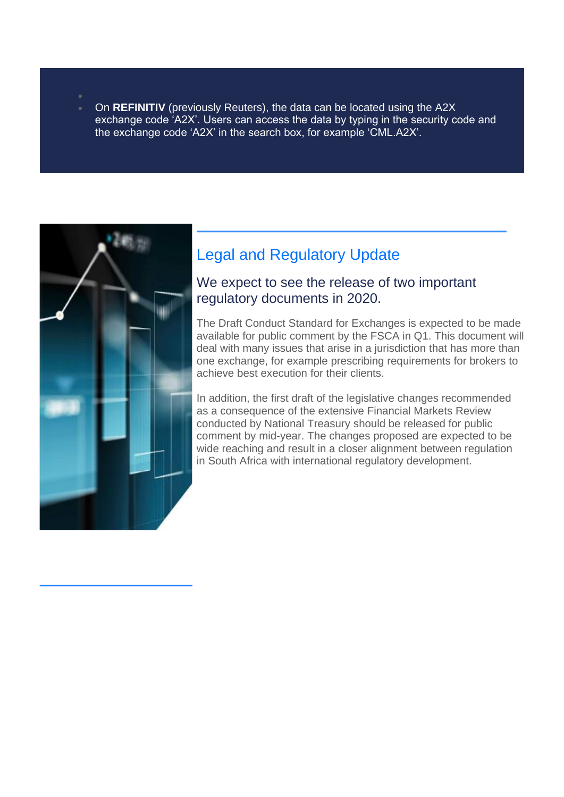• On **REFINITIV** (previously Reuters), the data can be located using the A2X exchange code 'A2X'. Users can access the data by typing in the security code and the exchange code 'A2X' in the search box, for example 'CML.A2X'.



## Legal and Regulatory Update

#### We expect to see the release of two important regulatory documents in 2020.

The Draft Conduct Standard for Exchanges is expected to be made available for public comment by the FSCA in Q1. This document will deal with many issues that arise in a jurisdiction that has more than one exchange, for example prescribing requirements for brokers to achieve best execution for their clients.

In addition, the first draft of the legislative changes recommended as a consequence of the extensive Financial Markets Review conducted by National Treasury should be released for public comment by mid-year. The changes proposed are expected to be wide reaching and result in a closer alignment between regulation in South Africa with international regulatory development.